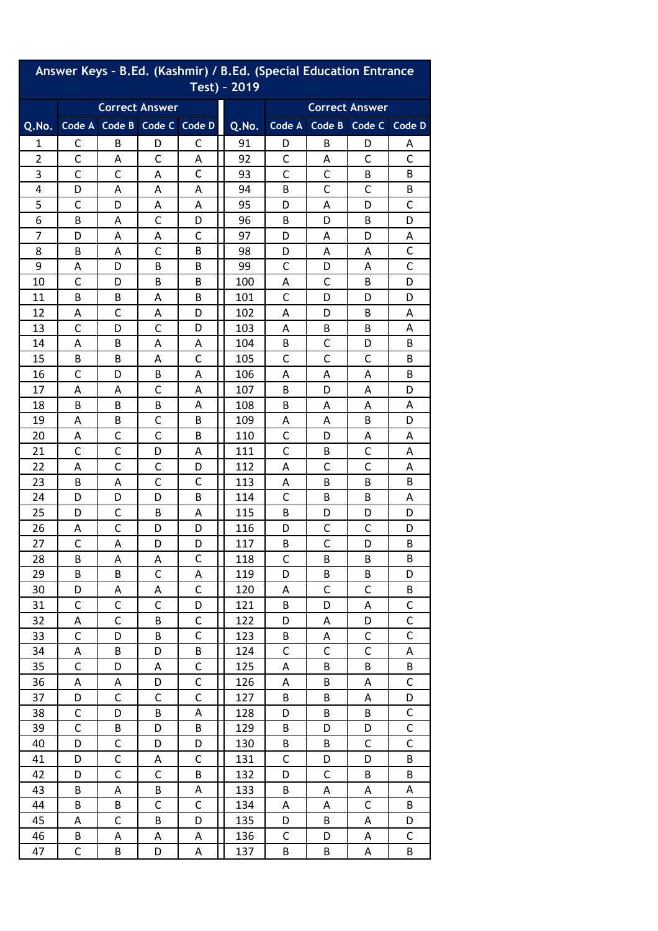| Answer Keys - B.Ed. (Kashmir) / B.Ed. (Special Education Entrance<br>Test) - 2019 |                       |                             |              |              |       |                       |             |              |              |  |  |
|-----------------------------------------------------------------------------------|-----------------------|-----------------------------|--------------|--------------|-------|-----------------------|-------------|--------------|--------------|--|--|
|                                                                                   | <b>Correct Answer</b> |                             |              |              |       | <b>Correct Answer</b> |             |              |              |  |  |
| Q.No.                                                                             |                       | Code A Code B Code C Code D |              |              | Q.No. | Code A                | Code B      | Code C       | Code D       |  |  |
| 1                                                                                 | С                     | B                           | D            | С            | 91    | D                     | В           | D            | A            |  |  |
| $\overline{2}$                                                                    | C                     | Α                           | C            | Α            | 92    | C                     | А           | C            | C            |  |  |
| 3                                                                                 | C                     | C                           | Α            | $\mathsf{C}$ | 93    | $\mathsf{C}$          | C           | B            | B            |  |  |
| 4                                                                                 | D                     | Α                           | Α            | А            | 94    | B                     | C           | C            | В            |  |  |
| 5                                                                                 | С                     | D                           | Α            | Α            | 95    | D                     | Α           | D            | C            |  |  |
| 6                                                                                 | B                     | Α                           | C            | D            | 96    | B                     | D           | B            | D            |  |  |
| 7                                                                                 | D                     | Α                           | А            | C            | 97    | D                     | А           | D            | Α            |  |  |
| 8                                                                                 | B                     | Α                           | C            | B            | 98    | D                     | Α           | Α            | C            |  |  |
| 9                                                                                 | Α                     | D                           | В            | B            | 99    | C                     | D           | А            | C            |  |  |
| 10                                                                                | C                     | D                           | B            | B            | 100   | А                     | C           | B            | D            |  |  |
| 11                                                                                | B                     | B                           | Α            | B            | 101   | С                     | D           | D            | D            |  |  |
| 12                                                                                | Α                     | C                           | Α            | D            | 102   | A                     | D           | В            | Α            |  |  |
| 13                                                                                | $\mathsf{C}$          | D                           | C            | D            | 103   | Α                     | В           | В            | Α            |  |  |
| 14                                                                                | А                     | В                           | А            | А            | 104   | В                     | C           | D            | B            |  |  |
| 15                                                                                | B                     | B                           | Α            | C            | 105   | C                     | C           | C            | B            |  |  |
| 16                                                                                | C                     | D                           | В            | Α            | 106   | Α                     | Α           | Α            | В            |  |  |
| 17                                                                                | Α                     | Α                           | С            | Α            | 107   | B                     | D           | Α            | D            |  |  |
| 18                                                                                | B                     | B                           | B            | Α            | 108   | B                     | Α           | Α            | Α            |  |  |
| 19                                                                                | Α                     | В                           | С            | B            | 109   | Α                     | Α           | В            | D            |  |  |
| 20                                                                                | Α                     | C                           | C            | B            | 110   | С                     | D           | А            | Α            |  |  |
| 21                                                                                | $\mathsf{C}$          | C                           | D            | Α            | 111   | $\overline{C}$        | B           | $\mathsf{C}$ | Α            |  |  |
| 22                                                                                | А                     | C                           | C            | D            | 112   | Α                     | C           | $\mathsf{C}$ | Α            |  |  |
| 23                                                                                | B                     | Α                           | C            | C            | 113   | A                     | B           | B            | В            |  |  |
| 24                                                                                | D                     | D                           | D            | B            | 114   | $\mathsf{C}$          | B           | B            | Α            |  |  |
| 25                                                                                | D                     | C                           | B            | Α            | 115   | B                     | D           | D            | D            |  |  |
| 26                                                                                | А                     | C                           | D            | D            | 116   | D                     | С           | C            | D            |  |  |
| 27                                                                                | C                     | Α                           | D            | D            | 117   | Β                     | $\mathsf C$ | D            | B            |  |  |
| 28                                                                                | B                     | A                           | A            | $\mathsf{C}$ | 118   | C                     | В           | B            | B            |  |  |
| 29                                                                                | B                     | B                           | C            | А            | 119   | D                     | В           | В            | D            |  |  |
| 30                                                                                | D                     | А                           | Α            | C            | 120   | A                     | С           | С            | В            |  |  |
| 31                                                                                | $\mathsf{C}$          | $\mathsf{C}$                | $\mathsf{C}$ | D            | 121   | B                     | D           | А            | $\mathsf C$  |  |  |
| 32                                                                                | А                     | C                           | B            | $\mathsf C$  | 122   | D                     | А           | D            | C            |  |  |
| 33                                                                                | C                     | D                           | B            | С            | 123   | B                     | Α           | С            | C            |  |  |
| 34                                                                                | Α                     | B                           | D            | B            | 124   | $\mathsf{C}$          | C           | $\mathsf{C}$ | A            |  |  |
| 35                                                                                | $\mathsf{C}$          | D                           | A            | $\mathsf C$  | 125   | Α                     | B           | В            | B            |  |  |
| 36                                                                                | А                     | Α                           | D            | $\mathsf C$  | 126   | А                     | B           | Α            | C            |  |  |
| 37                                                                                | D                     | C                           | $\mathsf{C}$ | $\mathsf{C}$ | 127   | B                     | B           | Α            | D            |  |  |
| 38                                                                                | $\mathsf C$           | D                           | B            | А            | 128   | D                     | B           | В            | C            |  |  |
| 39                                                                                | C                     | B                           | D            | B            | 129   | B                     | D           | D            | $\mathsf C$  |  |  |
| 40                                                                                | D                     | $\mathsf{C}$                | D            | D            | 130   | B                     | B           | C            | $\mathsf{C}$ |  |  |
| 41                                                                                | D                     | $\mathsf{C}$                | Α            | $\mathsf C$  | 131   | $\mathsf C$           | D           | D            | B            |  |  |
| 42                                                                                | D                     | $\mathsf{C}$                | $\mathsf C$  | B            | 132   | D                     | С           | B            | B            |  |  |
| 43                                                                                | B                     | A                           | B            | А            | 133   | B                     | Α           | А            | A            |  |  |
| 44                                                                                | B                     | B                           | C            | $\mathsf C$  | 134   | А                     | А           | C            | B            |  |  |
| 45                                                                                | Α                     | C                           | B            | D            | 135   | D                     | В           | Α            | D            |  |  |
| 46                                                                                | B                     | А                           | Α            | Α            | 136   | $\mathsf C$           | D           | A            | C            |  |  |
| 47                                                                                | $\mathsf C$           | B                           | D            | А            | 137   | B                     | B           | А            | B            |  |  |